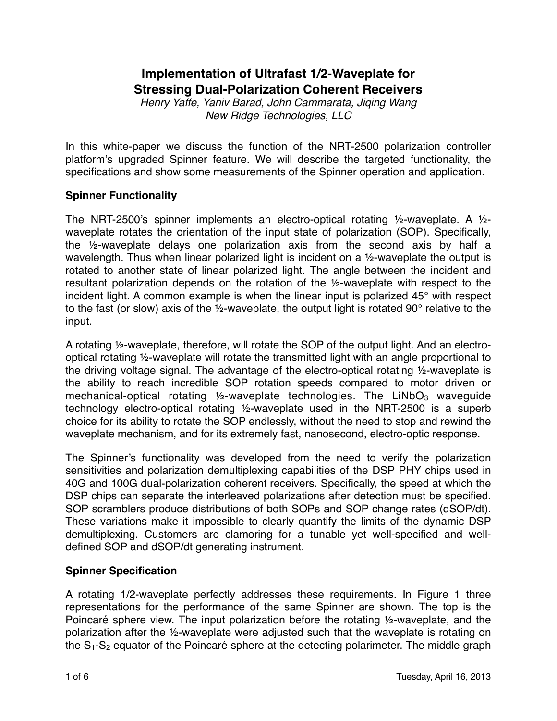# **Implementation of Ultrafast 1/2-Waveplate for Stressing Dual-Polarization Coherent Receivers**

*Henry Yaffe, Yaniv Barad, John Cammarata, Jiqing Wang New Ridge Technologies, LLC*

In this white-paper we discuss the function of the NRT-2500 polarization controller platform's upgraded Spinner feature. We will describe the targeted functionality, the specifications and show some measurements of the Spinner operation and application.

### **Spinner Functionality**

The NRT-2500's spinner implements an electro-optical rotating  $\frac{1}{2}$ -waveplate. A  $\frac{1}{2}$ waveplate rotates the orientation of the input state of polarization (SOP). Specifically, the ½-waveplate delays one polarization axis from the second axis by half a wavelength. Thus when linear polarized light is incident on a 1/2-waveplate the output is rotated to another state of linear polarized light. The angle between the incident and resultant polarization depends on the rotation of the ½-waveplate with respect to the incident light. A common example is when the linear input is polarized 45° with respect to the fast (or slow) axis of the ½-waveplate, the output light is rotated 90° relative to the input.

A rotating ½-waveplate, therefore, will rotate the SOP of the output light. And an electrooptical rotating ½-waveplate will rotate the transmitted light with an angle proportional to the driving voltage signal. The advantage of the electro-optical rotating ½-waveplate is the ability to reach incredible SOP rotation speeds compared to motor driven or mechanical-optical rotating  $\frac{1}{2}$ -waveplate technologies. The LiNbO<sub>3</sub> waveguide technology electro-optical rotating ½-waveplate used in the NRT-2500 is a superb choice for its ability to rotate the SOP endlessly, without the need to stop and rewind the waveplate mechanism, and for its extremely fast, nanosecond, electro-optic response.

The Spinner's functionality was developed from the need to verify the polarization sensitivities and polarization demultiplexing capabilities of the DSP PHY chips used in 40G and 100G dual-polarization coherent receivers. Specifically, the speed at which the DSP chips can separate the interleaved polarizations after detection must be specified. SOP scramblers produce distributions of both SOPs and SOP change rates (dSOP/dt). These variations make it impossible to clearly quantify the limits of the dynamic DSP demultiplexing. Customers are clamoring for a tunable yet well-specified and welldefined SOP and dSOP/dt generating instrument.

# **Spinner Specification**

A rotating 1/2-waveplate perfectly addresses these requirements. In Figure 1 three representations for the performance of the same Spinner are shown. The top is the Poincaré sphere view. The input polarization before the rotating ½-waveplate, and the polarization after the ½-waveplate were adjusted such that the waveplate is rotating on the  $S_1-S_2$  equator of the Poincaré sphere at the detecting polarimeter. The middle graph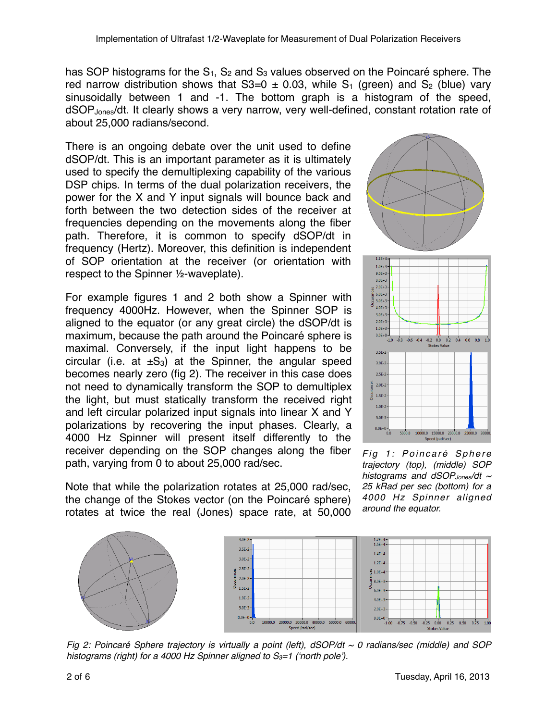has SOP histograms for the  $S_1$ ,  $S_2$  and  $S_3$  values observed on the Poincaré sphere. The red narrow distribution shows that  $S3=0 \pm 0.03$ , while S<sub>1</sub> (green) and S<sub>2</sub> (blue) vary sinusoidally between 1 and -1. The bottom graph is a histogram of the speed, dSOP<sub>Jones</sub>/dt. It clearly shows a very narrow, very well-defined, constant rotation rate of about 25,000 radians/second.

There is an ongoing debate over the unit used to define dSOP/dt. This is an important parameter as it is ultimately used to specify the demultiplexing capability of the various DSP chips. In terms of the dual polarization receivers, the power for the X and Y input signals will bounce back and forth between the two detection sides of the receiver at frequencies depending on the movements along the fiber path. Therefore, it is common to specify dSOP/dt in frequency (Hertz). Moreover, this definition is independent of SOP orientation at the receiver (or orientation with respect to the Spinner ½-waveplate).

For example figures 1 and 2 both show a Spinner with frequency 4000Hz. However, when the Spinner SOP is aligned to the equator (or any great circle) the dSOP/dt is maximum, because the path around the Poincaré sphere is maximal. Conversely, if the input light happens to be circular (i.e. at  $\pm S_3$ ) at the Spinner, the angular speed becomes nearly zero (fig 2). The receiver in this case does not need to dynamically transform the SOP to demultiplex the light, but must statically transform the received right and left circular polarized input signals into linear X and Y polarizations by recovering the input phases. Clearly, a 4000 Hz Spinner will present itself differently to the receiver depending on the SOP changes along the fiber path, varying from 0 to about 25,000 rad/sec.

Note that while the polarization rotates at 25,000 rad/sec, the change of the Stokes vector (on the Poincaré sphere) rotates at twice the real (Jones) space rate, at 50,000



*Fig 1: Poincaré Sphere trajectory (top), (middle) SOP histograms and dSOPJones/dt ~ 25 kRad per sec (bottom) for a 4000 Hz Spinner aligned around the equator.*



*Fig 2: Poincaré Sphere trajectory is virtually a point (left), dSOP/dt ~ 0 radians/sec (middle) and SOP histograms (right) for a 4000 Hz Spinner aligned to S3=1 ('north pole').*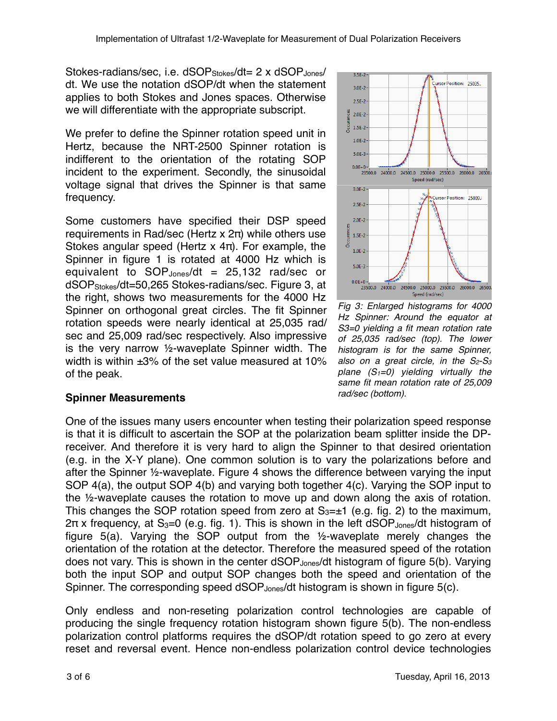Stokes-radians/sec, i.e. dSOP<sub>Stokes</sub>/dt= 2 x dSOP<sub>Jones</sub>/ dt. We use the notation dSOP/dt when the statement applies to both Stokes and Jones spaces. Otherwise we will differentiate with the appropriate subscript.

We prefer to define the Spinner rotation speed unit in Hertz, because the NRT-2500 Spinner rotation is indifferent to the orientation of the rotating SOP incident to the experiment. Secondly, the sinusoidal voltage signal that drives the Spinner is that same frequency.

Some customers have specified their DSP speed requirements in Rad/sec (Hertz x 2π) while others use Stokes angular speed (Hertz x 4π). For example, the Spinner in figure 1 is rotated at 4000 Hz which is equivalent to  $SOP<sub>Jones</sub>/dt = 25,132$  rad/sec or dSOPStokes/dt=50,265 Stokes-radians/sec. Figure 3, at the right, shows two measurements for the 4000 Hz Spinner on orthogonal great circles. The fit Spinner rotation speeds were nearly identical at 25,035 rad/ sec and 25,009 rad/sec respectively. Also impressive is the very narrow ½-waveplate Spinner width. The width is within ±3% of the set value measured at 10% of the peak.



*Fig 3: Enlarged histograms for 4000 Hz Spinner: Around the equator at S3=0 yielding a fit mean rotation rate of 25,035 rad/sec (top). The lower histogram is for the same Spinner, also on a great circle, in the S2-S3 plane (S1=0) yielding virtually the same fit mean rotation rate of 25,009 rad/sec (bottom).*

# **Spinner Measurements**

One of the issues many users encounter when testing their polarization speed response is that it is difficult to ascertain the SOP at the polarization beam splitter inside the DPreceiver. And therefore it is very hard to align the Spinner to that desired orientation (e.g. in the X-Y plane). One common solution is to vary the polarizations before and after the Spinner ½-waveplate. Figure 4 shows the difference between varying the input SOP 4(a), the output SOP 4(b) and varying both together 4(c). Varying the SOP input to the ½-waveplate causes the rotation to move up and down along the axis of rotation. This changes the SOP rotation speed from zero at  $S_{3}=\pm 1$  (e.g. fig. 2) to the maximum,  $2\pi$  x frequency, at S<sub>3</sub>=0 (e.g. fig. 1). This is shown in the left dSOP<sub>Jones</sub>/dt histogram of figure 5(a). Varying the SOP output from the ½-waveplate merely changes the orientation of the rotation at the detector. Therefore the measured speed of the rotation does not vary. This is shown in the center dSOP<sub>Jones</sub>/dt histogram of figure 5(b). Varying both the input SOP and output SOP changes both the speed and orientation of the Spinner. The corresponding speed dSOP<sub>Jones</sub>/dt histogram is shown in figure 5(c).

Only endless and non-reseting polarization control technologies are capable of producing the single frequency rotation histogram shown figure 5(b). The non-endless polarization control platforms requires the dSOP/dt rotation speed to go zero at every reset and reversal event. Hence non-endless polarization control device technologies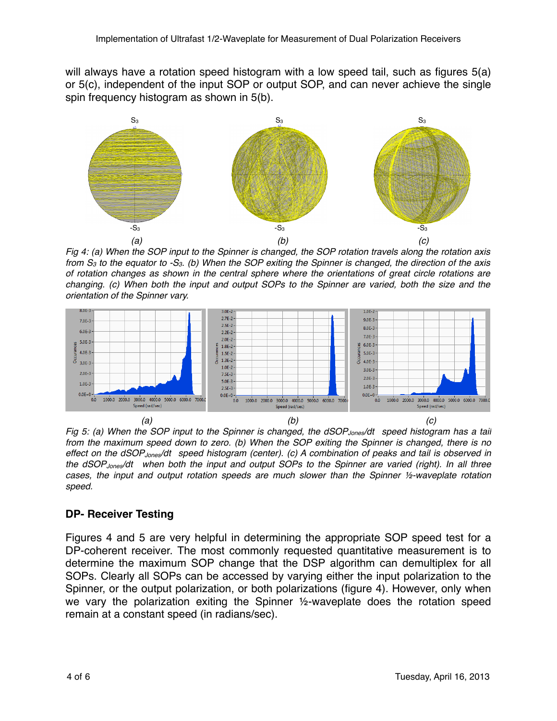will always have a rotation speed histogram with a low speed tail, such as figures 5(a) or 5(c), independent of the input SOP or output SOP, and can never achieve the single spin frequency histogram as shown in 5(b).



*Fig 4: (a) When the SOP input to the Spinner is changed, the SOP rotation travels along the rotation axis from S3 to the equator to -S3. (b) When the SOP exiting the Spinner is changed, the direction of the axis of rotation changes as shown in the central sphere where the orientations of great circle rotations are changing. (c) When both the input and output SOPs to the Spinner are varied, both the size and the orientation of the Spinner vary.*



*Fig 5: (a) When the SOP input to the Spinner is changed, the dSOP Jones/dt speed histogram has a tail from the maximum speed down to zero. (b) When the SOP exiting the Spinner is changed, there is no effect on the dSOPJones/dt speed histogram (center). (c) A combination of peaks and tail is observed in the dSOPJones/dt when both the input and output SOPs to the Spinner are varied (right). In all three cases, the input and output rotation speeds are much slower than the Spinner 1/2-waveplate rotation speed.*

### **DP- Receiver Testing**

Figures 4 and 5 are very helpful in determining the appropriate SOP speed test for a DP-coherent receiver. The most commonly requested quantitative measurement is to determine the maximum SOP change that the DSP algorithm can demultiplex for all SOPs. Clearly all SOPs can be accessed by varying either the input polarization to the Spinner, or the output polarization, or both polarizations (figure 4). However, only when we vary the polarization exiting the Spinner ½-waveplate does the rotation speed remain at a constant speed (in radians/sec).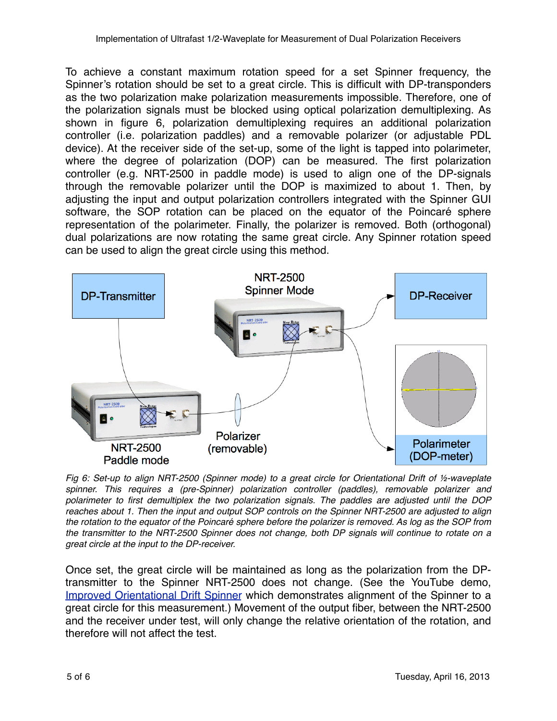To achieve a constant maximum rotation speed for a set Spinner frequency, the Spinner's rotation should be set to a great circle. This is difficult with DP-transponders as the two polarization make polarization measurements impossible. Therefore, one of the polarization signals must be blocked using optical polarization demultiplexing. As shown in figure 6, polarization demultiplexing requires an additional polarization controller (i.e. polarization paddles) and a removable polarizer (or adjustable PDL device). At the receiver side of the set-up, some of the light is tapped into polarimeter, where the degree of polarization (DOP) can be measured. The first polarization controller (e.g. NRT-2500 in paddle mode) is used to align one of the DP-signals through the removable polarizer until the DOP is maximized to about 1. Then, by adjusting the input and output polarization controllers integrated with the Spinner GUI software, the SOP rotation can be placed on the equator of the Poincaré sphere representation of the polarimeter. Finally, the polarizer is removed. Both (orthogonal) dual polarizations are now rotating the same great circle. Any Spinner rotation speed can be used to align the great circle using this method.



*Fig 6: Set-up to align NRT-2500 (Spinner mode) to a great circle for Orientational Drift of 1/<sub>2</sub>-waveplate spinner. This requires a (pre-Spinner) polarization controller (paddles), removable polarizer and polarimeter to first demultiplex the two polarization signals. The paddles are adjusted until the DOP reaches about 1. Then the input and output SOP controls on the Spinner NRT-2500 are adjusted to align the rotation to the equator of the Poincaré sphere before the polarizer is removed. As log as the SOP from the transmitter to the NRT-2500 Spinner does not change, both DP signals will continue to rotate on a great circle at the input to the DP-receiver.*

Once set, the great circle will be maintained as long as the polarization from the DPtransmitter to the Spinner NRT-2500 does not change. (See the YouTube demo, [Improved Orientational Drift Spinner](http://www.youtube.com/watch?v=UyutgflycEo) which demonstrates alignment of the Spinner to a great circle for this measurement.) Movement of the output fiber, between the NRT-2500 and the receiver under test, will only change the relative orientation of the rotation, and therefore will not affect the test.